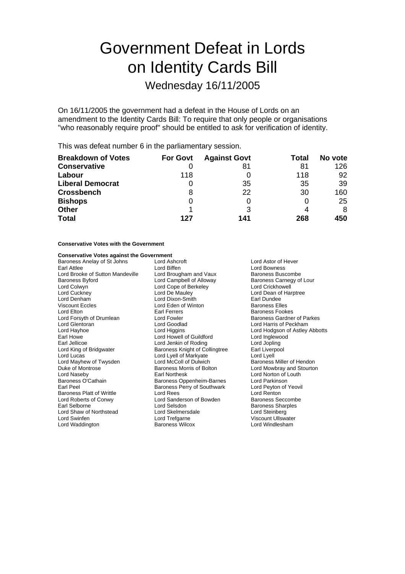# Government Defeat in Lords on Identity Cards Bill

## Wednesday 16/11/2005

On 16/11/2005 the government had a defeat in the House of Lords on an amendment to the Identity Cards Bill: To require that only people or organisations "who reasonably require proof" should be entitled to ask for verification of identity.

This was defeat number 6 in the parliamentary session.

| <b>Breakdown of Votes</b> | <b>For Govt</b> | <b>Against Govt</b> | Total | No vote |
|---------------------------|-----------------|---------------------|-------|---------|
| <b>Conservative</b>       |                 | 81                  | 81    | 126     |
| Labour                    | 118             |                     | 118   | 92      |
| <b>Liberal Democrat</b>   |                 | 35                  | 35    | 39      |
| <b>Crossbench</b>         | 8               | 22                  | 30    | 160     |
| <b>Bishops</b>            | 0               |                     |       | 25      |
| <b>Other</b>              |                 |                     | 4     | 8       |
| <b>Total</b>              | 127             | 141                 | 268   | 450     |

#### **Conservative Votes with the Government**

#### **Conservative Votes against the Government**

Baroness Anelay of St Johns Lord Ashcroft **Lord Ashcroft** Lord Ashcroft Lord Ashcroft Cord Bowness<br>
Lord Bowness Lord Bowness Earl Attlee **Lord Biffen**<br>Lord Brooke of Sutton Mandeville Lord Brougham and Vaux Baroness Buscombe Lord Brooke of Sutton Mandeville Lord Brougham and Vaux Baroness Buscombe<br>Baroness Byford Lour Lord Campbell of Alloway Baroness Carnegy of Lour Baroness Byford **Baroness Example Campbell of Alloway** Baroness Carnegy Campbell of Alloway Baroness Carnegy Campbell of Alloway Cord Crickhowell Lord Cope of Berkeley Lord Cuckney Lord De Mauley Lord Dean of Harptree Lord Denham Lord Dixon-Smith Earl Dundee Viscount Eccles<br>
Lord Elton<br>
Lord Elton Lord Earl Ferrers Lord Elton **Elton Executes** Earl Ferrers **Example 2** Earl Ferrers Executes Baroness Fookes<br>
Lord Forsyth of Drumlean **Example Executes** Executes Baroness Gardnei Lord Forsyth of Drumlean Lord Fowler Cord Found Baroness Gardner of Parkes<br>
Lord Glentoran Lord Goodlad Lord Goodland Lord Harris of Peckham Lord Glentoran **Lord Goodlad** Lord Goodlad Lord Harris of Peckham<br>
Lord Hayhoe **Lord Harris Communist Communist Communist Communist Communist Communist Communist Communist Communist Communist Communist Communist Communist** Earl Howe Lord Howell of Guildford Lord Inglewood Earl Jellicoe Lord Jenkin of Roding Lord Jenkin of Roding Lord Jopling<br>Lord King of Bridgwater Baroness Knight of Collingtree Earl Liverpool Lord Lucas<br>
Lord Mayhew of Twysden<br>
Lord McColl of Dulwich Lord Mayhew of Twysden Lord McColl of Dulwich Baroness Miller of Hendon<br>
Duke of Montrose Baroness Morris of Bolton Lord Mowbray and Stourton Lord Naseby **Earl Northesk Lord Norton of Louth**<br>Baroness O'Cathain **Baroness Oppenheim-Barnes** Lord Parkinson Baroness O'Cathain **Baroness Oppenheim-Barnes** Lord Parkinson<br>Earl Peel Baroness Perry of Southwark Lord Peyton of Yeovil Baroness Platt of Writtle Lord Rees<br>
Lord Roberts of Conwy Lord Canderson of Bowden<br>
Lord Roberts of Conwy Lord Sanderson of Bowden<br>
Baroness Seccombe Lord Roberts of Conwy Lord Sanderson of Bowden<br>
Earl Selborne<br>
Lord Selsdon Lord Shaw of Northstead Lord Skelmersdale Lord Steinberg Lord Swinfen **Communist Communist Communist Communist Communist Communist Communist Communist Communist Communist Communist Communist Communist Communist Communist Communist Communist Communist Communist Communist Communis** Lord Waddington

Lord Hodgson of Astley Abbotts Baroness Knight of Collingtree Earl Liverpool<br>Lord Lyell of Markyate Lord Lyell Lord Mowbray and Stourton Earoness Perry of Southwark Lord Peyton<br>
Lord Rees Lord Renton **Lord Selsdon Baroness Sharples<br>
Lord Skelmersdale**<br>
Lord Steinberg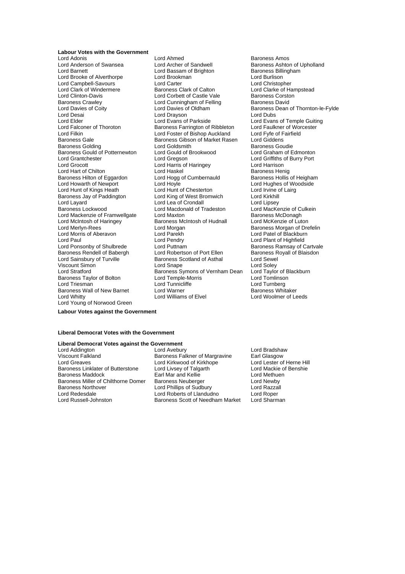#### **Labour Votes with the Government**

Lord Brooke of Alverthorpe Lord Desai **Lord Drayson**<br>
Lord Elder **Lord Evans of Parkside** Baroness Gould of Potternewton Lord Gould of Lord Grantchester Lord Gregson Lord Hart of Chilton<br>
Baroness Hilton of Eggardon<br>
Lord Hogg of Cumbernauld Lord Hunt of Kings Heath Lord Mackenzie of Framwellgate Lord Maxton Lord Morris of Aberavon Lord Parekh<br>Lord Paul burner Lord Pendry Baroness Taylor of Bolton Lord Temple-Morris Lord Triesman<br>
Lord Triesman Lord Tunnicliffe Lord Young of Norwood Green

Lord Adonis Lord Ahmed<br>
Lord Adonis Lord Anned Baroness Amos<br>
Lord Anderson of Swansea Lord Archer of Sandwell Baroness Ashtol Lord Anderson of Swansea Lord Archer of Sandwell Baroness Ashton of Upholland<br>
Lord Baroness Billingham<br>
Lord Bassam of Brighton Baroness Billingham Lord Bassam of Brighton **Baroness Billingham Baroness Billing**<br>Lord Brookman Baroness Baroness Baroness Baroness Billingham Lord Campbell-Savours Lord Carter Lord Carter Lord Christopher<br>
Lord Clark of Windermere Baroness Clark of Calton Lord Clarke of Ha Lord Clark of Windermere **Baroness Clark of Calton** Lord Clarke of Hampstead<br>
Lord Clinton-Davis **Lord Corpet of Castle Vale** Baroness Corston Lord Clinton-Davis Lord Corbett of Castle Vale Baroness Corstoners Corstoners Corstoners Corstoners Lord Cunningham of Felling Baroness David Lord Cunningham of Felling<br>Lord Davies of Oldham Lord Davies of Coity **Lord Davies of Oldham** Baroness Dean of Thornton-le-Fylde<br>
Lord Desain Lord Dravson<br>
Lord Desain Lord Dubs Lord Elder **Lord Elder** Lord Evans of Parkside **Lord Evans of Temple Guiting**<br>
Lord Ealconer of Thoroton **Baroness Farrington** of Ribbleton Lord Faulkner of Worcester Lord Falconer of Thoroton **Baroness Farrington of Ribbleton** Lord Faulkner of Worcester<br>Lord Filkin Lord Foster of Bishop Auckland Lord Fyfe of Fairfield Lord Filkin Lord Foster of Bishop Auckland Lord Fyfe of F<br>Baroness Gale Communist Baroness Gibson of Market Rasen Lord Giddens Baroness Gibson of Market Rasen Lord Giddens<br>Lord Goldsmith Baroness Goudie Baroness Golding The Lord Goldsmith Corporation Baroness Goudie<br>
Baroness Gould of Potternewton Lord Gould of Brookwood Lord Graham of Edmonton Lord Grantchester Lord Gregson Lord Griffiths of Burry Port Lord Harris of Haringey<br>Lord Haskel Corpus Lord Harrison Baroness Hilton of Eggardon Lord Hogg of Cumbernauld Baroness Hollis of Heigham<br>Lord Howarth of Newport Lord Hovle Lord Holle Lord Hughes of Woodside Lord Hoyle<br>
Lord Hughes of Woodside<br>
Lord Irvine of Lairg Baroness Jay of Paddington Lord King of West Bromwich Lord Kirkhill Lord Layard<br>
Lord Layard **Lord Lord Lord Alexa of Crondall**<br>
Lord Machena Lord Macdonald of Tradeston Lord MacKenzie of Culkein Lord Macdonald of Tradeston Lord MacKenzie of Culture<br>
Lord Maxton Lord Maxton Baroness McDonagh Lord McIntosh of Haringey Baroness McIntosh of Hudnall Lord McKenzie of Luton<br>
Lord Merlyn-Rees Lord Morgan Lord Morgan Baroness Morgan of Dre Lord Morgan **Communist Communist Communist Communist Communist Communist Communist Communist Communist Communist Communist Communist Communist Communist Communist Communist Communist Communist Communist Communist Communist** Lord Paul **Lord Pendry** Cord Pendry **Lord Paul Lord Plant of Highfield** Lord Ponsonby of Shulbrede Lord Puttnam Lord Port Ellen Baroness Ramsay of Cartvale<br>Baroness Rendell of Babergh Lord Robertson of Port Ellen Baroness Rovall of Blaisdon Baroness Rendell of Babergh Lord Robertson of Port Ellen Baroness R<br>
Lord Sainsbury of Turville Baroness Scotland of Asthal Lord Sewel Baroness Scotland of Asthal Viscount Simon **Viscount Simon** Lord Soley Lord Snape **Lord Solet Constant Constant Constant Constant Constant Constant Lord Solety**<br>
Lord Stratford **Constant Constant Constant Constant Constant Constant Constant Constant** Baroness Symons of Vernham Dean Lord Taylor of B<br>Lord Temple-Morris Lord Tomlinson Lord Triesman Lord Tunnicliffe Lord Turnberg Baroness Wall of New Barnet Lord Warner Lord Lord Warner Christeller Baroness Whitaker<br>
Lord Whitty Cord Williams of Elvel Lord Woolmer of Le

Lord Woolmer of Leeds

#### **Labour Votes against the Government**

#### **Liberal Democrat Votes with the Government**

### **Liberal Democrat Votes against the Government**

Baroness Miller of Chilthorne Domer<br>Baroness Northover Lord Redesdale Lord Roberts of Llandudno Lord Roper

Lord Addington Lord Avebury Lord Avebury Lord Bradshaw<br>
Viscount Falkland Lord Baroness Falkner of Margravine Larl Glasgow Viscount Falkland **Baroness Falkner of Margravine** Earl Glasgow<br>
Lord Greaves **Connect Connect Connect Connect Connect** Lord Lester of Herne Hill Lord Kirkwood of Kirkhope Baroness Linklater of Butterstone Lord Livsey of Talgarth Lord Mackie of Benshie<br>Baroness Maddock Barl Mar and Kellie Lord Methuen Baroness Maddock **Earl Mar and Kellie** Earl Mar and Kellie Lord Methuen Cord Methuen Baroness Neuberger Cord Newby Lord Phillips of Sudbury Lord Razzall Baroness Scott of Needham Market